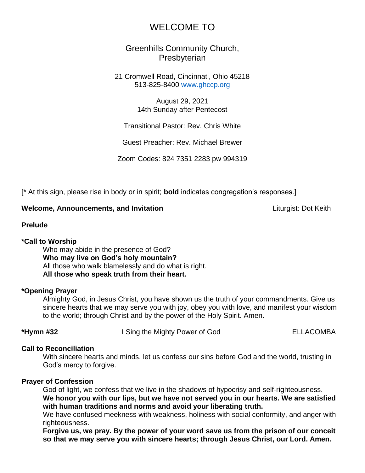# WELCOME TO

## Greenhills Community Church, **Presbyterian**

21 Cromwell Road, Cincinnati, Ohio 45218 513-825-8400 [www.ghccp.org](http://www.ghccp.org/)

> August 29, 2021 14th Sunday after Pentecost

Transitional Pastor: Rev. Chris White

Guest Preacher: Rev. Michael Brewer

Zoom Codes: 824 7351 2283 pw 994319

[\* At this sign, please rise in body or in spirit; **bold** indicates congregation's responses.]

### **Welcome, Announcements, and Invitation** Liturgist: Dot Keith

### **Prelude**

### **\*Call to Worship**

Who may abide in the presence of God? **Who may live on God's holy mountain?**  All those who walk blamelessly and do what is right. **All those who speak truth from their heart.**

### **\*Opening Prayer**

Almighty God, in Jesus Christ, you have shown us the truth of your commandments. Give us sincere hearts that we may serve you with joy, obey you with love, and manifest your wisdom to the world; through Christ and by the power of the Holy Spirit. Amen.

**\*Hymn #32** I Sing the Mighty Power of God ELLACOMBA

### **Call to Reconciliation**

With sincere hearts and minds, let us confess our sins before God and the world, trusting in God's mercy to forgive.

### **Prayer of Confession**

God of light, we confess that we live in the shadows of hypocrisy and self-righteousness. **We honor you with our lips, but we have not served you in our hearts. We are satisfied with human traditions and norms and avoid your liberating truth.**

We have confused meekness with weakness, holiness with social conformity, and anger with righteousness.

**Forgive us, we pray. By the power of your word save us from the prison of our conceit so that we may serve you with sincere hearts; through Jesus Christ, our Lord. Amen.**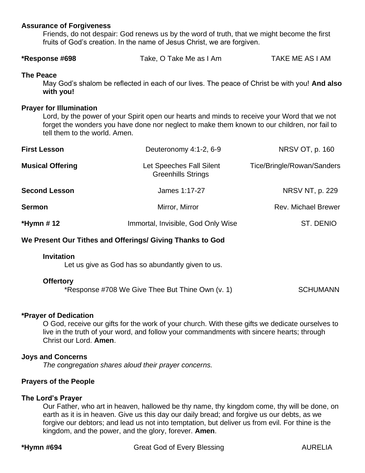### **Assurance of Forgiveness**

Friends, do not despair: God renews us by the word of truth, that we might become the first fruits of God's creation. In the name of Jesus Christ, we are forgiven.

| *Response #698 | Take, O Take Me as I Am | TAKE ME AS I AM |
|----------------|-------------------------|-----------------|
|----------------|-------------------------|-----------------|

#### **The Peace**

May God's shalom be reflected in each of our lives. The peace of Christ be with you! **And also with you!**

#### **Prayer for Illumination**

Lord, by the power of your Spirit open our hearts and minds to receive your Word that we not forget the wonders you have done nor neglect to make them known to our children, nor fail to tell them to the world. Amen.

| <b>First Lesson</b>     | Deuteronomy 4:1-2, 6-9                                | NRSV OT, p. 160            |
|-------------------------|-------------------------------------------------------|----------------------------|
| <b>Musical Offering</b> | Let Speeches Fall Silent<br><b>Greenhills Strings</b> | Tice/Bringle/Rowan/Sanders |
| <b>Second Lesson</b>    | James 1:17-27                                         | NRSV NT, p. 229            |
| <b>Sermon</b>           | Mirror, Mirror                                        | <b>Rev. Michael Brewer</b> |
| *Hymn # 12              | Immortal, Invisible, God Only Wise                    | ST. DENIO                  |

### **We Present Our Tithes and Offerings/ Giving Thanks to God**

#### **Invitation**

Let us give as God has so abundantly given to us.

#### **Offertory**

| *Response #708 We Give Thee But Thine Own (v. 1) |  |  | <b>SCHUMANN</b> |
|--------------------------------------------------|--|--|-----------------|
|--------------------------------------------------|--|--|-----------------|

#### **\*Prayer of Dedication**

O God, receive our gifts for the work of your church. With these gifts we dedicate ourselves to live in the truth of your word, and follow your commandments with sincere hearts; through Christ our Lord. **Amen**.

#### **Joys and Concerns**

*The congregation shares aloud their prayer concerns.*

### **Prayers of the People**

#### **The Lord's Prayer**

Our Father, who art in heaven, hallowed be thy name, thy kingdom come, thy will be done, on earth as it is in heaven. Give us this day our daily bread; and forgive us our debts, as we forgive our debtors; and lead us not into temptation, but deliver us from evil. For thine is the kingdom, and the power, and the glory, forever. **Amen**.